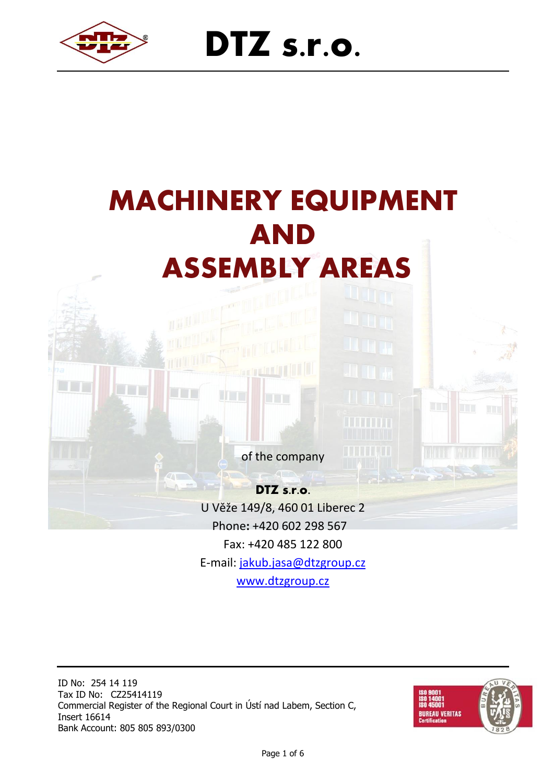

# **DTZ s.r.o.**



**DTZ s.r.o.** U Věže 149/8, 460 01 Liberec 2 Phone**:** +420 602 298 567 Fax: +420 485 122 800 E-mail: [jakub.jasa@dtzgroup.cz](mailto:jakub.jasa@dtzgroup.cz) [www.dtzgroup.cz](http://www.dtzgroup.cz/)

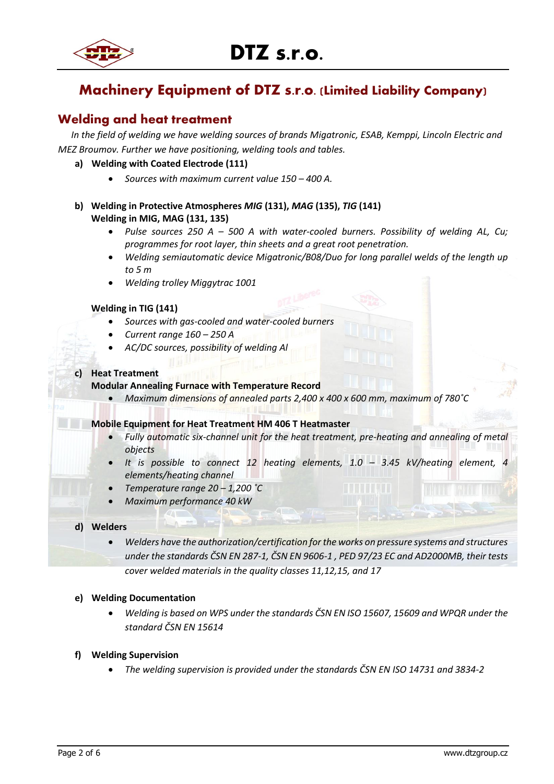

## **Machinery Equipment of DTZ s.r.o. (Limited Liability Company)**

## **Welding and heat treatment**

*In the field of welding we have welding sources of brands Migatronic, ESAB, Kemppi, Lincoln Electric and MEZ Broumov. Further we have positioning, welding tools and tables.*

## **a) Welding with Coated Electrode (111)**

- *Sources with maximum current value 150 – 400 A.*
- **b) Welding in Protective Atmospheres** *MIG* **(131),** *MAG* **(135),** *TIG* **(141) Welding in MIG, MAG (131, 135)**
	- *Pulse sources 250 A – 500 A with water-cooled burners. Possibility of welding AL, Cu; programmes for root layer, thin sheets and a great root penetration.*
	- *Welding semiautomatic device Migatronic/B08/Duo for long parallel welds of the length up to 5 m*
	- *Welding trolley Miggytrac 1001*

## **Welding in TIG (141)**

- *Sources with gas-cooled and water-cooled burners*
- *Current range 160 – 250 A*
- *AC/DC sources, possibility of welding Al*

## **c) Heat Treatment**

### **Modular Annealing Furnace with Temperature Record**

• *Maximum dimensions of annealed parts 2,400 x 400 x 600 mm, maximum of 780˚C*

### **Mobile Equipment for Heat Treatment HM 406 T Heatmaster**

- *Fully automatic six-channel unit for the heat treatment, pre-heating and annealing of metal objects*
- *It is possible to connect 12 heating elements, 1.0 – 3.45 kV/heating element, 4 elements/heating channel*
- *Temperature range 20 – 1,200 ˚C*
- *Maximum performance 40 kW*

#### **d) Welders**

• *Welders have the authorization/certification for the works on pressure systems and structures under the standards ČSN EN 287-1, ČSN EN 9606-1 , PED 97/23 EC and AD2000MB, their tests cover welded materials in the quality classes 11,12,15, and 17*

## **e) Welding Documentation**

• *Welding is based on WPS under the standards ČSN EN ISO 15607, 15609 and WPQR under the standard ČSN EN 15614*

#### **f) Welding Supervision**

• *The welding supervision is provided under the standards ČSN EN ISO 14731 and 3834-2*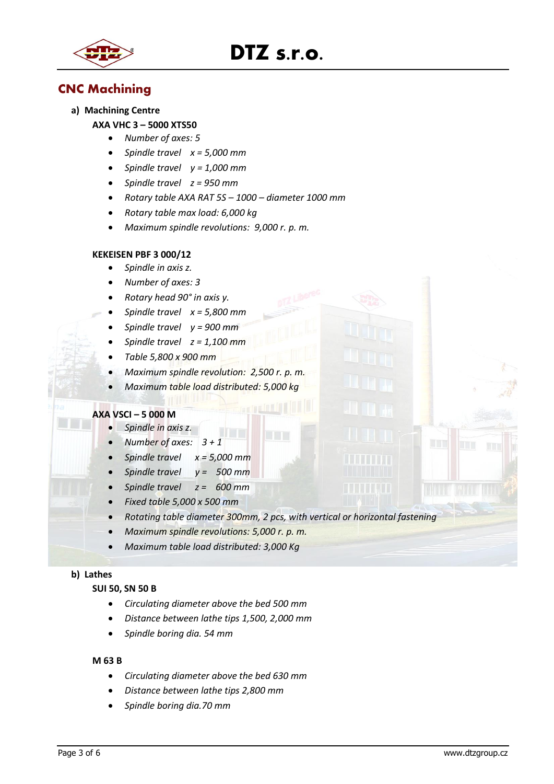

## **DTZ s.r.o.**

## **CNC Machining**

**a) Machining Centre**

## **AXA VHC 3 – 5000 XTS50**

- *Number of axes: 5*
- *Spindle travel x = 5,000 mm*
- *Spindle travel y = 1,000 mm*
- *Spindle travel z = 950 mm*
- *Rotary table AXA RAT 5S – 1000 – diameter 1000 mm*
- *Rotary table max load: 6,000 kg*
- *Maximum spindle revolutions: 9,000 r. p. m.*

## **KEKEISEN PBF 3 000/12**

- *Spindle in axis z.*
- *Number of axes: 3*
- *Rotary head 90° in axis y.*
- *Spindle travel x = 5,800 mm*
- *Spindle travel y = 900 mm*
- *Spindle travel z = 1,100 mm*
- *Table 5,800 x 900 mm*
- *Maximum spindle revolution: 2,500 r. p. m.*
- *Maximum table load distributed: 5,000 kg*

## **AXA VSCI – 5 000 M**

- *Spindle in axis z.*
- *Number of axes: 3 + 1*
- *Spindle travel x = 5,000 mm*
- *Spindle travel y = 500 mm*
- *Spindle travel z = 600 mm*
- *Fixed table 5,000 x 500 mm*
- *Rotating table diameter 300mm, 2 pcs, with vertical or horizontal fastening*
- *Maximum spindle revolutions: 5,000 r. p. m.*
- *Maximum table load distributed: 3,000 Kg*

## **b) Lathes**

#### **SUI 50, SN 50 B**

- *Circulating diameter above the bed 500 mm*
- *Distance between lathe tips 1,500, 2,000 mm*
- *Spindle boring dia. 54 mm*

#### **M 63 B**

- *Circulating diameter above the bed 630 mm*
- *Distance between lathe tips 2,800 mm*
- *Spindle boring dia.70 mm*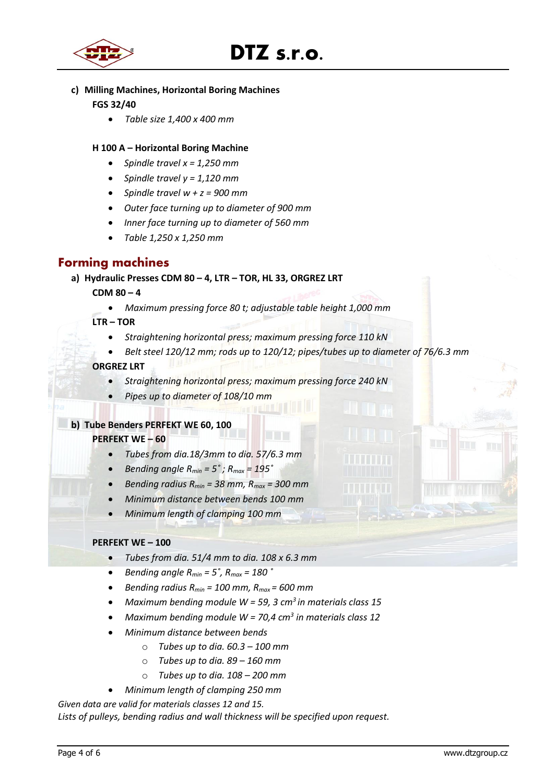



## **c) Milling Machines, Horizontal Boring Machines FGS 32/40**

• *Table size 1,400 x 400 mm*

- **H 100 A – Horizontal Boring Machine**
	- *Spindle travel x = 1,250 mm*
	- *Spindle travel y = 1,120 mm*
	- *Spindle travel w + z = 900 mm*
	- *Outer face turning up to diameter of 900 mm*
	- *Inner face turning up to diameter of 560 mm*
	- *Table 1,250 x 1,250 mm*

## **Forming machines**

**a) Hydraulic Presses CDM 80 – 4, LTR – TOR, HL 33, ORGREZ LRT**

## **CDM 80 – 4**

• *Maximum pressing force 80 t; adjustable table height 1,000 mm*

## **LTR – TOR**

- *Straightening horizontal press; maximum pressing force 110 kN*
- *Belt steel 120/12 mm; rods up to 120/12; pipes/tubes up to diameter of 76/6.3 mm*

## **ORGREZ LRT**

- *Straightening horizontal press; maximum pressing force 240 kN*
- *Pipes up to diameter of 108/10 mm*

## **b) Tube Benders PERFEKT WE 60, 100**

## **PERFEKT WE – 60**

- *Tubes from dia.18/3mm to dia. 57/6.3 mm*
- *Bending angle Rmin = 5˚ ; Rmax = 195˚*
- *Bending radius Rmin = 38 mm, Rmax = 300 mm*
- *Minimum distance between bends 100 mm*
- *Minimum length of clamping 100 mm*

## **PERFEKT WE – 100**

- *Tubes from dia. 51/4 mm to dia. 108 x 6.3 mm*
- *Bending angle Rmin = 5˚, Rmax = 180 ˚*
- *Bending radius Rmin = 100 mm, Rmax = 600 mm*
- *Maximum bending module W = 59, 3 cm<sup>3</sup>in materials class 15*
- *Maximum bending module W = 70,4 cm<sup>3</sup> in materials class 12*
- *Minimum distance between bends*
	- o *Tubes up to dia. 60.3 – 100 mm*
	- o *Tubes up to dia. 89 – 160 mm*
	- o *Tubes up to dia. 108 – 200 mm*
	- *Minimum length of clamping 250 mm*

*Given data are valid for materials classes 12 and 15.*

*Lists of pulleys, bending radius and wall thickness will be specified upon request.*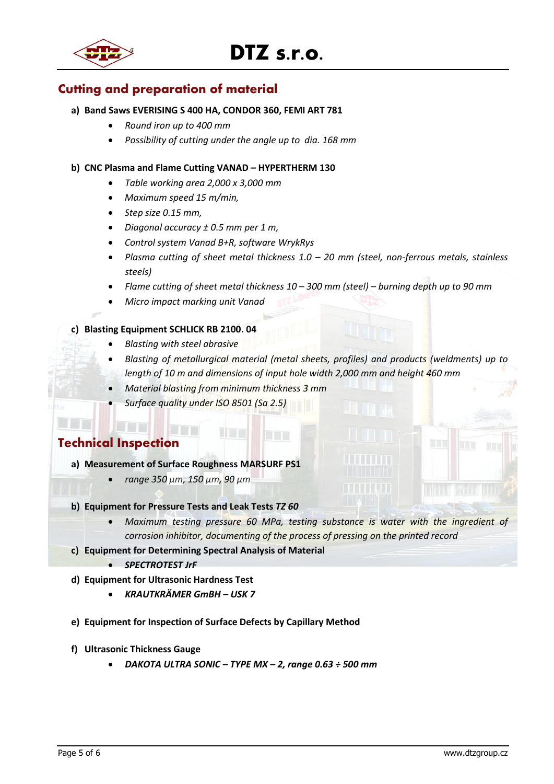

## **Cutting and preparation of material**

## **a) Band Saws EVERISING S 400 HA, CONDOR 360, FEMI ART 781**

- *Round iron up to 400 mm*
- *Possibility of cutting under the angle up to dia. 168 mm*

## **b) CNC Plasma and Flame Cutting VANAD – HYPERTHERM 130**

- *Table working area 2,000 x 3,000 mm*
- *Maximum speed 15 m/min,*
- *Step size 0.15 mm,*
- *Diagonal accuracy ± 0.5 mm per 1 m,*
- *Control system Vanad B+R, software WrykRys*
- *Plasma cutting of sheet metal thickness 1.0 – 20 mm (steel, non-ferrous metals, stainless steels)*
- *Flame cutting of sheet metal thickness 10 – 300 mm (steel) – burning depth up to 90 mm*
- *Micro impact marking unit Vanad*

## **c) Blasting Equipment SCHLICK RB 2100. 04**

<u>LI DI NOTITI </u>

- *Blasting with steel abrasive*
- *Blasting of metallurgical material (metal sheets, profiles) and products (weldments) up to length of 10 m and dimensions of input hole width 2,000 mm and height 460 mm*
- *Material blasting from minimum thickness 3 mm*
- *Surface quality under ISO 8501 (Sa 2.5)*

## **Technical Inspection**

- **a) Measurement of Surface Roughness MARSURF PS1**
	- *range 350 µm, 150 µm, 90 µm*
- **b) Equipment for Pressure Tests and Leak Tests** *TZ 60*
	- *Maximum testing pressure 60 MPa, testing substance is water with the ingredient of corrosion inhibitor, documenting of the process of pressing on the printed record*
- **c) Equipment for Determining Spectral Analysis of Material** 
	- *SPECTROTEST JrF*
- **d) Equipment for Ultrasonic Hardness Test**
	- *KRAUTKRÄMER GmBH – USK 7*
- **e) Equipment for Inspection of Surface Defects by Capillary Method**
- **f) Ultrasonic Thickness Gauge**
	- *DAKOTA ULTRA SONIC – TYPE MX – 2, range 0.63 ÷ 500 mm*